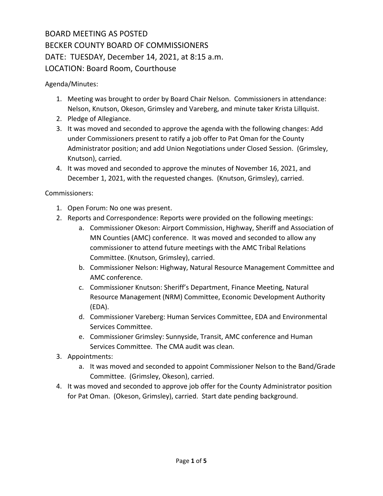# BOARD MEETING AS POSTED BECKER COUNTY BOARD OF COMMISSIONERS DATE: TUESDAY, December 14, 2021, at 8:15 a.m. LOCATION: Board Room, Courthouse

Agenda/Minutes:

- 1. Meeting was brought to order by Board Chair Nelson. Commissioners in attendance: Nelson, Knutson, Okeson, Grimsley and Vareberg, and minute taker Krista Lillquist.
- 2. Pledge of Allegiance.
- 3. It was moved and seconded to approve the agenda with the following changes: Add under Commissioners present to ratify a job offer to Pat Oman for the County Administrator position; and add Union Negotiations under Closed Session. (Grimsley, Knutson), carried.
- 4. It was moved and seconded to approve the minutes of November 16, 2021, and December 1, 2021, with the requested changes. (Knutson, Grimsley), carried.

Commissioners:

- 1. Open Forum: No one was present.
- 2. Reports and Correspondence: Reports were provided on the following meetings:
	- a. Commissioner Okeson: Airport Commission, Highway, Sheriff and Association of MN Counties (AMC) conference. It was moved and seconded to allow any commissioner to attend future meetings with the AMC Tribal Relations Committee. (Knutson, Grimsley), carried.
	- b. Commissioner Nelson: Highway, Natural Resource Management Committee and AMC conference.
	- c. Commissioner Knutson: Sheriff's Department, Finance Meeting, Natural Resource Management (NRM) Committee, Economic Development Authority (EDA).
	- d. Commissioner Vareberg: Human Services Committee, EDA and Environmental Services Committee.
	- e. Commissioner Grimsley: Sunnyside, Transit, AMC conference and Human Services Committee. The CMA audit was clean.
- 3. Appointments:
	- a. It was moved and seconded to appoint Commissioner Nelson to the Band/Grade Committee. (Grimsley, Okeson), carried.
- 4. It was moved and seconded to approve job offer for the County Administrator position for Pat Oman. (Okeson, Grimsley), carried. Start date pending background.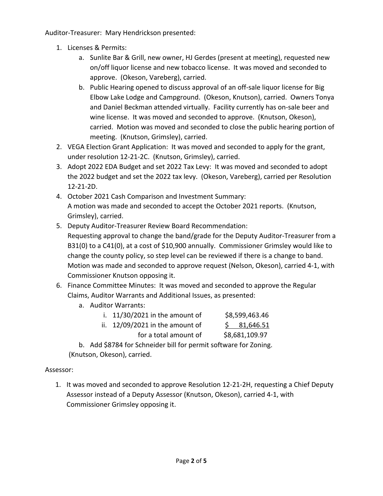Auditor‐Treasurer: Mary Hendrickson presented:

- 1. Licenses & Permits:
	- a. Sunlite Bar & Grill, new owner, HJ Gerdes (present at meeting), requested new on/off liquor license and new tobacco license. It was moved and seconded to approve. (Okeson, Vareberg), carried.
	- b. Public Hearing opened to discuss approval of an off‐sale liquor license for Big Elbow Lake Lodge and Campground. (Okeson, Knutson), carried. Owners Tonya and Daniel Beckman attended virtually. Facility currently has on‐sale beer and wine license. It was moved and seconded to approve. (Knutson, Okeson), carried. Motion was moved and seconded to close the public hearing portion of meeting. (Knutson, Grimsley), carried.
- 2. VEGA Election Grant Application: It was moved and seconded to apply for the grant, under resolution 12‐21‐2C. (Knutson, Grimsley), carried.
- 3. Adopt 2022 EDA Budget and set 2022 Tax Levy: It was moved and seconded to adopt the 2022 budget and set the 2022 tax levy. (Okeson, Vareberg), carried per Resolution 12‐21‐2D.
- 4. October 2021 Cash Comparison and Investment Summary: A motion was made and seconded to accept the October 2021 reports. (Knutson, Grimsley), carried.
- 5. Deputy Auditor‐Treasurer Review Board Recommendation: Requesting approval to change the band/grade for the Deputy Auditor‐Treasurer from a B31(0) to a C41(0), at a cost of \$10,900 annually. Commissioner Grimsley would like to change the county policy, so step level can be reviewed if there is a change to band. Motion was made and seconded to approve request (Nelson, Okeson), carried 4‐1, with Commissioner Knutson opposing it.
- 6. Finance Committee Minutes: It was moved and seconded to approve the Regular Claims, Auditor Warrants and Additional Issues, as presented:
	- a. Auditor Warrants:

| i. $11/30/2021$ in the amount of  | \$8,599,463.46 |
|-----------------------------------|----------------|
| ii. $12/09/2021$ in the amount of | \$31,646.51    |
| for a total amount of             | \$8,681,109.97 |

b. Add \$8784 for Schneider bill for permit software for Zoning. (Knutson, Okeson), carried.

## Assessor:

1. It was moved and seconded to approve Resolution 12‐21‐2H, requesting a Chief Deputy Assessor instead of a Deputy Assessor (Knutson, Okeson), carried 4‐1, with Commissioner Grimsley opposing it.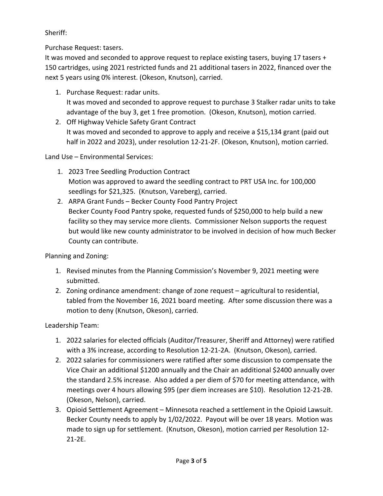## Sheriff:

Purchase Request: tasers.

It was moved and seconded to approve request to replace existing tasers, buying 17 tasers + 150 cartridges, using 2021 restricted funds and 21 additional tasers in 2022, financed over the next 5 years using 0% interest. (Okeson, Knutson), carried.

- 1. Purchase Request: radar units. It was moved and seconded to approve request to purchase 3 Stalker radar units to take advantage of the buy 3, get 1 free promotion. (Okeson, Knutson), motion carried.
- 2. Off Highway Vehicle Safety Grant Contract It was moved and seconded to approve to apply and receive a \$15,134 grant (paid out half in 2022 and 2023), under resolution 12‐21‐2F. (Okeson, Knutson), motion carried.

Land Use – Environmental Services:

- 1. 2023 Tree Seedling Production Contract Motion was approved to award the seedling contract to PRT USA Inc. for 100,000 seedlings for \$21,325. (Knutson, Vareberg), carried.
- 2. ARPA Grant Funds Becker County Food Pantry Project Becker County Food Pantry spoke, requested funds of \$250,000 to help build a new facility so they may service more clients. Commissioner Nelson supports the request but would like new county administrator to be involved in decision of how much Becker County can contribute.

Planning and Zoning:

- 1. Revised minutes from the Planning Commission's November 9, 2021 meeting were submitted.
- 2. Zoning ordinance amendment: change of zone request agricultural to residential, tabled from the November 16, 2021 board meeting. After some discussion there was a motion to deny (Knutson, Okeson), carried.

Leadership Team:

- 1. 2022 salaries for elected officials (Auditor/Treasurer, Sheriff and Attorney) were ratified with a 3% increase, according to Resolution 12‐21‐2A. (Knutson, Okeson), carried.
- 2. 2022 salaries for commissioners were ratified after some discussion to compensate the Vice Chair an additional \$1200 annually and the Chair an additional \$2400 annually over the standard 2.5% increase. Also added a per diem of \$70 for meeting attendance, with meetings over 4 hours allowing \$95 (per diem increases are \$10). Resolution 12‐21‐2B. (Okeson, Nelson), carried.
- 3. Opioid Settlement Agreement Minnesota reached a settlement in the Opioid Lawsuit. Becker County needs to apply by 1/02/2022. Payout will be over 18 years. Motion was made to sign up for settlement. (Knutson, Okeson), motion carried per Resolution 12‐ 21‐2E.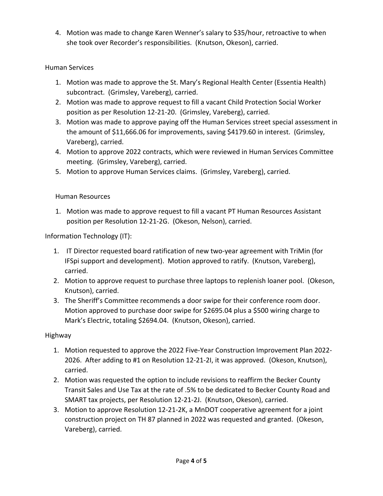4. Motion was made to change Karen Wenner's salary to \$35/hour, retroactive to when she took over Recorder's responsibilities. (Knutson, Okeson), carried.

## Human Services

- 1. Motion was made to approve the St. Mary's Regional Health Center (Essentia Health) subcontract. (Grimsley, Vareberg), carried.
- 2. Motion was made to approve request to fill a vacant Child Protection Social Worker position as per Resolution 12‐21‐20. (Grimsley, Vareberg), carried.
- 3. Motion was made to approve paying off the Human Services street special assessment in the amount of \$11,666.06 for improvements, saving \$4179.60 in interest. (Grimsley, Vareberg), carried.
- 4. Motion to approve 2022 contracts, which were reviewed in Human Services Committee meeting. (Grimsley, Vareberg), carried.
- 5. Motion to approve Human Services claims. (Grimsley, Vareberg), carried.

#### Human Resources

1. Motion was made to approve request to fill a vacant PT Human Resources Assistant position per Resolution 12‐21‐2G. (Okeson, Nelson), carried.

Information Technology (IT):

- 1. IT Director requested board ratification of new two-year agreement with TriMin (for IFSpi support and development). Motion approved to ratify. (Knutson, Vareberg), carried.
- 2. Motion to approve request to purchase three laptops to replenish loaner pool. (Okeson, Knutson), carried.
- 3. The Sheriff's Committee recommends a door swipe for their conference room door. Motion approved to purchase door swipe for \$2695.04 plus a \$500 wiring charge to Mark's Electric, totaling \$2694.04. (Knutson, Okeson), carried.

#### Highway

- 1. Motion requested to approve the 2022 Five‐Year Construction Improvement Plan 2022‐ 2026. After adding to #1 on Resolution 12‐21‐2I, it was approved. (Okeson, Knutson), carried.
- 2. Motion was requested the option to include revisions to reaffirm the Becker County Transit Sales and Use Tax at the rate of .5% to be dedicated to Becker County Road and SMART tax projects, per Resolution 12‐21‐2J. (Knutson, Okeson), carried.
- 3. Motion to approve Resolution 12‐21‐2K, a MnDOT cooperative agreement for a joint construction project on TH 87 planned in 2022 was requested and granted. (Okeson, Vareberg), carried.